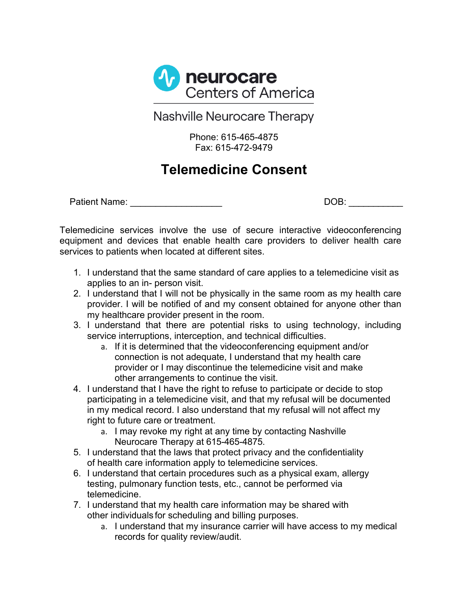

**Nashville Neurocare Therapy** 

Phone: 615-465-4875 Fax: 615-472-9479

## **Telemedicine Consent**

Patient Name: \_\_\_\_\_\_\_\_\_\_\_\_\_\_\_\_\_\_ DOB: \_\_\_\_\_\_\_\_\_\_\_

Telemedicine services involve the use of secure interactive videoconferencing equipment and devices that enable health care providers to deliver health care services to patients when located at different sites.

- 1. I understand that the same standard of care applies to a telemedicine visit as applies to an in- person visit.
- 2. I understand that I will not be physically in the same room as my health care provider. I will be notified of and my consent obtained for anyone other than my healthcare provider present in the room.
- 3. I understand that there are potential risks to using technology, including service interruptions, interception, and technical difficulties.
	- a. If it is determined that the videoconferencing equipment and/or connection is not adequate, I understand that my health care provider or I may discontinue the telemedicine visit and make other arrangements to continue the visit.
- 4. I understand that I have the right to refuse to participate or decide to stop participating in a telemedicine visit, and that my refusal will be documented in my medical record. I also understand that my refusal will not affect my right to future care or treatment.
	- a. I may revoke my right at any time by contacting Nashville Neurocare Therapy at 615-465-4875.
- 5. I understand that the laws that protect privacy and the confidentiality of health care information apply to telemedicine services.
- 6. I understand that certain procedures such as a physical exam, allergy testing, pulmonary function tests, etc., cannot be performed via telemedicine.
- 7. I understand that my health care information may be shared with other individuals for scheduling and billing purposes.
	- a. I understand that my insurance carrier will have access to my medical records for quality review/audit.